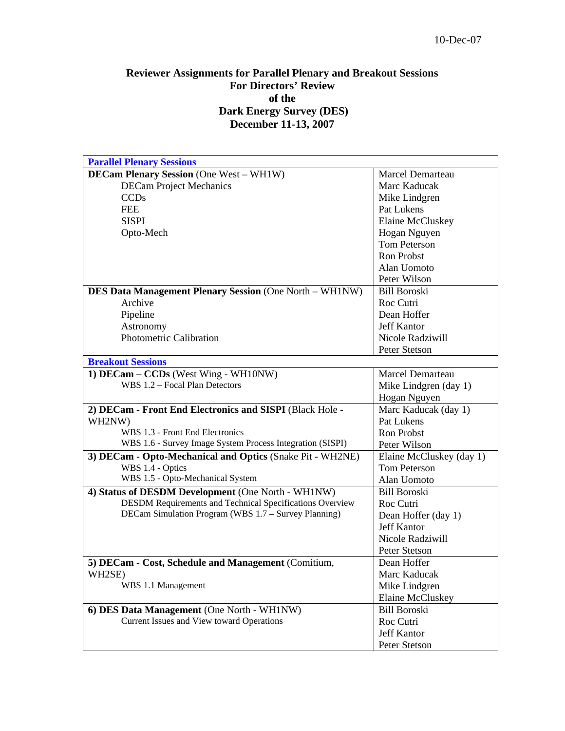## **Reviewer Assignments for Parallel Plenary and Breakout Sessions For Directors' Review of the Dark Energy Survey (DES) December 11-13, 2007**

| <b>Parallel Plenary Sessions</b>                                |                          |
|-----------------------------------------------------------------|--------------------------|
| <b>DECam Plenary Session</b> (One West – WH1W)                  | Marcel Demarteau         |
| <b>DECam Project Mechanics</b>                                  | Marc Kaducak             |
| <b>CCDs</b>                                                     | Mike Lindgren            |
| <b>FEE</b>                                                      | Pat Lukens               |
| <b>SISPI</b>                                                    | Elaine McCluskey         |
| Opto-Mech                                                       | Hogan Nguyen             |
|                                                                 | <b>Tom Peterson</b>      |
|                                                                 | Ron Probst               |
|                                                                 | Alan Uomoto              |
|                                                                 | Peter Wilson             |
| <b>DES Data Management Plenary Session (One North - WH1NW)</b>  | <b>Bill Boroski</b>      |
| Archive                                                         | Roc Cutri                |
| Pipeline                                                        | Dean Hoffer              |
| Astronomy                                                       | <b>Jeff Kantor</b>       |
| Photometric Calibration                                         | Nicole Radziwill         |
|                                                                 | Peter Stetson            |
| <b>Breakout Sessions</b>                                        |                          |
| 1) DECam - CCDs (West Wing - WH10NW)                            | <b>Marcel Demarteau</b>  |
| WBS 1.2 - Focal Plan Detectors                                  | Mike Lindgren (day 1)    |
|                                                                 | Hogan Nguyen             |
| 2) DECam - Front End Electronics and SISPI (Black Hole -        | Marc Kaducak (day 1)     |
| WH2NW)                                                          | Pat Lukens               |
| WBS 1.3 - Front End Electronics                                 | <b>Ron Probst</b>        |
| WBS 1.6 - Survey Image System Process Integration (SISPI)       | Peter Wilson             |
| 3) DECam - Opto-Mechanical and Optics (Snake Pit - WH2NE)       | Elaine McCluskey (day 1) |
| WBS 1.4 - Optics                                                | Tom Peterson             |
| WBS 1.5 - Opto-Mechanical System                                | Alan Uomoto              |
| 4) Status of DESDM Development (One North - WH1NW)              | <b>Bill Boroski</b>      |
|                                                                 |                          |
| <b>DESDM Requirements and Technical Specifications Overview</b> | Roc Cutri                |
| DECam Simulation Program (WBS 1.7 - Survey Planning)            | Dean Hoffer (day 1)      |
|                                                                 | <b>Jeff Kantor</b>       |
|                                                                 | Nicole Radziwill         |
|                                                                 | Peter Stetson            |
| 5) DECam - Cost, Schedule and Management (Comitium,             | Dean Hoffer              |
| WH2SE)                                                          | Marc Kaducak             |
| WBS 1.1 Management                                              | Mike Lindgren            |
|                                                                 | <b>Elaine McCluskey</b>  |
| 6) DES Data Management (One North - WH1NW)                      | <b>Bill Boroski</b>      |
| Current Issues and View toward Operations                       | Roc Cutri                |
|                                                                 | <b>Jeff Kantor</b>       |